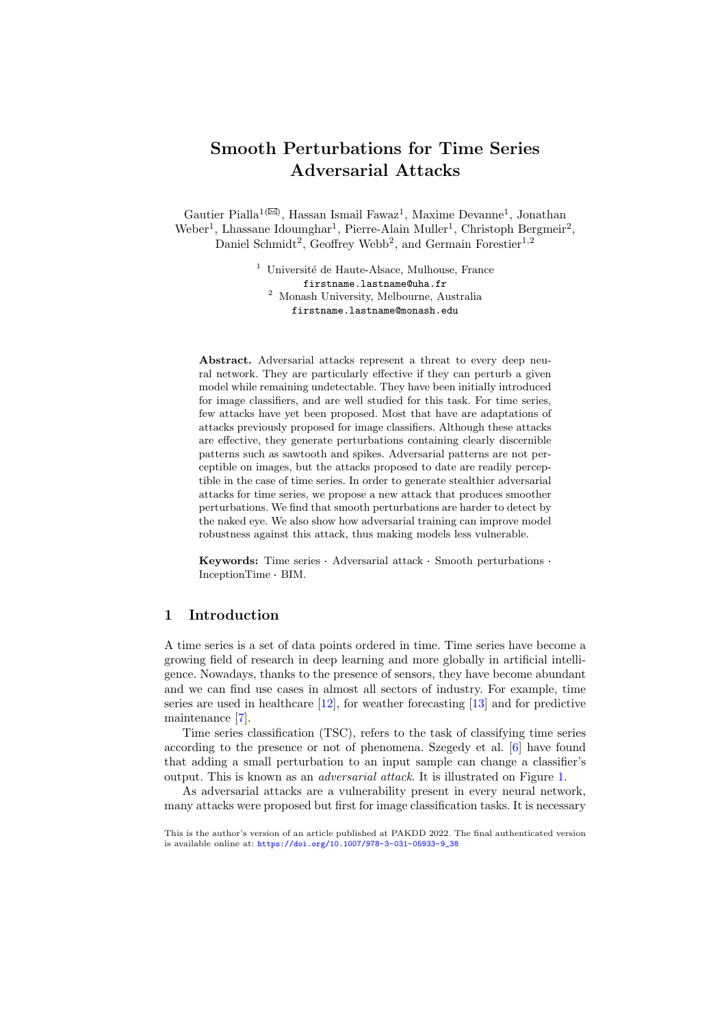# Smooth Perturbations for Time Series Adversarial Attacks

Gautier Pialla<sup>1( $\boxtimes$ )</sup>, Hassan Ismail Fawaz<sup>1</sup>, Maxime Devanne<sup>1</sup>, Jonathan Weber<sup>1</sup>, Lhassane Idoumghar<sup>1</sup>, Pierre-Alain Muller<sup>1</sup>, Christoph Bergmeir<sup>2</sup>, Daniel Schmidt<sup>2</sup>, Geoffrey Webb<sup>2</sup>, and Germain Forestier<sup>1,2</sup>

> $<sup>1</sup>$  Université de Haute-Alsace, Mulhouse, France</sup> firstname.lastname@uha.fr <sup>2</sup> Monash University, Melbourne, Australia firstname.lastname@monash.edu

Abstract. Adversarial attacks represent a threat to every deep neural network. They are particularly effective if they can perturb a given model while remaining undetectable. They have been initially introduced for image classifiers, and are well studied for this task. For time series, few attacks have yet been proposed. Most that have are adaptations of attacks previously proposed for image classifiers. Although these attacks are effective, they generate perturbations containing clearly discernible patterns such as sawtooth and spikes. Adversarial patterns are not perceptible on images, but the attacks proposed to date are readily perceptible in the case of time series. In order to generate stealthier adversarial attacks for time series, we propose a new attack that produces smoother perturbations. We find that smooth perturbations are harder to detect by the naked eye. We also show how adversarial training can improve model robustness against this attack, thus making models less vulnerable.

Keywords: Time series · Adversarial attack · Smooth perturbations · InceptionTime · BIM.

## 1 In[tro](#page-11-0)duction

A time series is a set of data points ordered in time. Time series have become a growing field of research in deep learning and more globally in artificial intelligence. Nowadays, thanks to the presence of [sen](#page-11-1)sors, they have become abundant and we can find use cases in almost all sectors of industry. For example, time series are used in healthcare  $[12]$ , for weather forecas[tin](#page-1-0)g  $[13]$  and for predictive maintenance [7].

Time series classification (TSC), refers to the task of classifying time series according to the presence or not of phenomena. Szegedy et al. [6] have found [that adding a small perturbation](https://doi.org/10.1007/978-3-031-05933-9_38) to an input sample can change a classifier's output. This is known as an adversarial attack. It is illustrated on Figure 1.

As adversarial attacks are a vulnerability present in every neural network, many attacks were proposed but first for image classification tasks. It is necessary

This is the author's version of an article published at PAKDD 2022. The final authenticated version is available online at: https://doi.org/10.1007/978-3-031-05933-9\_38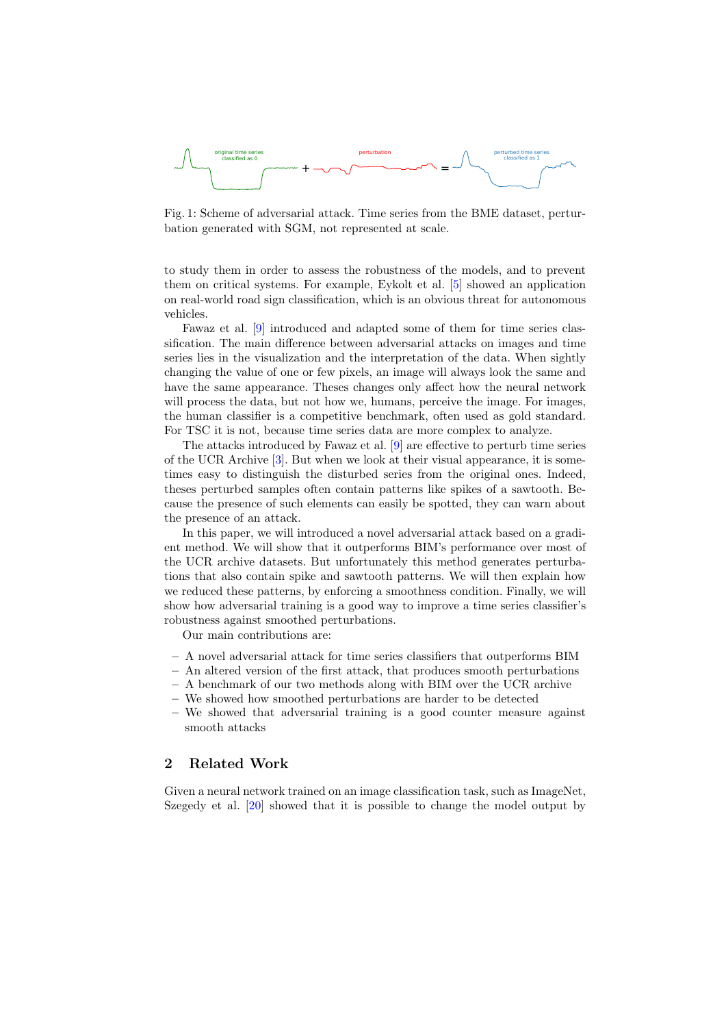<span id="page-1-0"></span>

Fig. 1: Scheme of adversarial atta[ck](#page-11-2). Time series from the BME dataset, perturbation generated with SGM, not represented at scale.

to study them in order to assess the robustness of the models, and to prevent them on critical systems. For example, Eykolt et al. [5] showed an application on real-world road sign classification, which is an obvious threat for autonomous vehicles.

Fawaz et al. [9] introduced and adapted some of them for time series classification. The main difference between adversarial attacks on images and time series lies in the visualization and the interpretation of the data. When sightly changing the value of [on](#page-11-3)e or few pixels, an image will always look the same and [h](#page-10-0)ave the same appearance. Theses changes only affect how the neural network will process the data, but not how we, humans, perceive the image. For images, the human classifier is a competitive benchmark, often used as gold standard. For TSC it is not, because time series data are more complex to analyze.

The attacks introduced by Fawaz et al. [9] are effective to perturb time series of the UCR Archive [3]. But when we look at their visual appearance, it is sometimes easy to distinguish the disturbed series from the original ones. Indeed, theses perturbed samples often contain patterns like spikes of a sawtooth. Because the presence of such elements can easily be spotted, they can warn about the presence of an attack.

In this paper, we will introduced a novel adversarial attack based on a gradient method. We will show that it outperforms BIM's performance over most of the UCR archive datasets. But unfortunately this method generates perturbations that also contain spike and sawtooth patterns. We will then explain how we reduced these patterns, by enforcing a smoothness condition. Finally, we will show how adversarial training is a good way to improve a time series classifier's robustness against smoothed perturbations.

Our main contributions are:

- A novel adversarial attack for time series classifiers that outperforms BIM
- An altered version of the first attack, that produces smooth perturbations
- A benchmark of our two methods along with BIM over the UCR archive
- We showed how smoothed perturbations are harder to be detected
- We showed that adversarial training is a good counter measure against smooth attacks

## 2 Related Work

Given a neural network trained on an image classification task, such as ImageNet, Szegedy et al. [20] showed that it is possible to change the model output by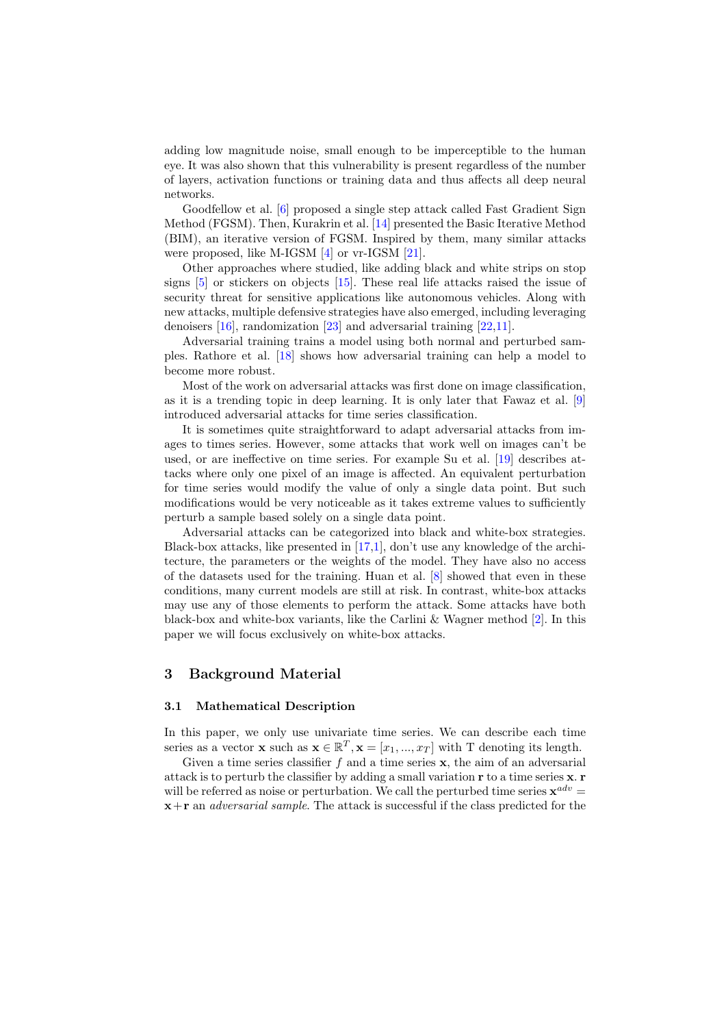adding low magni[tud](#page-11-4)e noise, small enough to be imperceptible to the human eye. It was also shown that this vulnerability is present regardless of the number of layers[, a](#page-10-1)ctivation fun[ctio](#page-11-5)ns or training data and thus affects all deep neural networks.

Goodfel[low](#page-11-6) et al. [6] proposed a single step attack called Fast Gradient Sign Method (FGSM). Then, Kurakrin et al. [14] presented the Basic Iterative Method (BIM), an iterative version of FGSM. Inspired by them, many similar attacks were pro[pose](#page-11-7)d, like M-IGSM [4] or vr[-IG](#page-11-8)[SM](#page-11-9) [21].

Other approaches where studied, like adding black and white strips on stop [sign](#page-11-10)s [5] or stickers on objects [15]. These real life attacks raised the issue of security threat for sensitive applications like autonomous vehicles. Along with new attacks, multiple defensive strategies have also emerged, including leveraging denoisers [16], randomization [23] and adversarial traini[ng](#page-11-3) [22,11].

Adversarial training trains a model using both normal and perturbed samples. Rathore et al. [18] shows how adversarial training can help a model to become more robust.

Most of the work on adversarial attack[s wa](#page-11-11)s first done on image classification, as it is a trending topic in deep learning. It is only later that Fawaz et al. [9] introduced adversarial attacks for time series classification.

It is sometimes quite straightforward to adapt adversarial attacks from images to times series. However, some attacks that work well on images can't be used, or are ineffective on time series. For example Su et al. [19] describes attacks where on[ly](#page-11-12) [on](#page-10-2)e pixel of an image is affected. An equivalent perturbation for time series would modify the value of only a single data point. But such modifications would be very [no](#page-11-13)ticeable as it takes extreme values to sufficiently perturb a sample based solely on a single data point.

Adversarial attacks can be categorized into black and white-box strategies. Black-box attacks, like presented in [17,1], don't [us](#page-10-3)e any knowledge of the architecture, the parameters or the weights of the model. They have also no access of the datasets used for the training. Huan et al. [8] showed that even in these conditions, many current models are still at risk. In contrast, white-box attacks may use any of those elements to perform the attack. Some attacks have both black-box and white-box variants, like the Carlini & Wagner method [2]. In this paper we will focus exclusively on white-box attacks.

## 3 Background Material

#### 3.1 Mathematical Description

In this paper, we only use univariate time series. We can describe each time series as a vector **x** such as  $\mathbf{x} \in \mathbb{R}^T$ ,  $\mathbf{x} = [x_1, ..., x_T]$  with T denoting its length.

Given a time series classifier  $f$  and a time series  $x$ , the aim of an adversarial attack is to perturb the classifier by adding a small variation  $\bf{r}$  to a time series  $\bf{x}$ . will be referred as noise or perturbation. We call the perturbed time series  $\mathbf{x}^{adv} =$  $x+r$  an *adversarial sample*. The attack is successful if the class predicted for the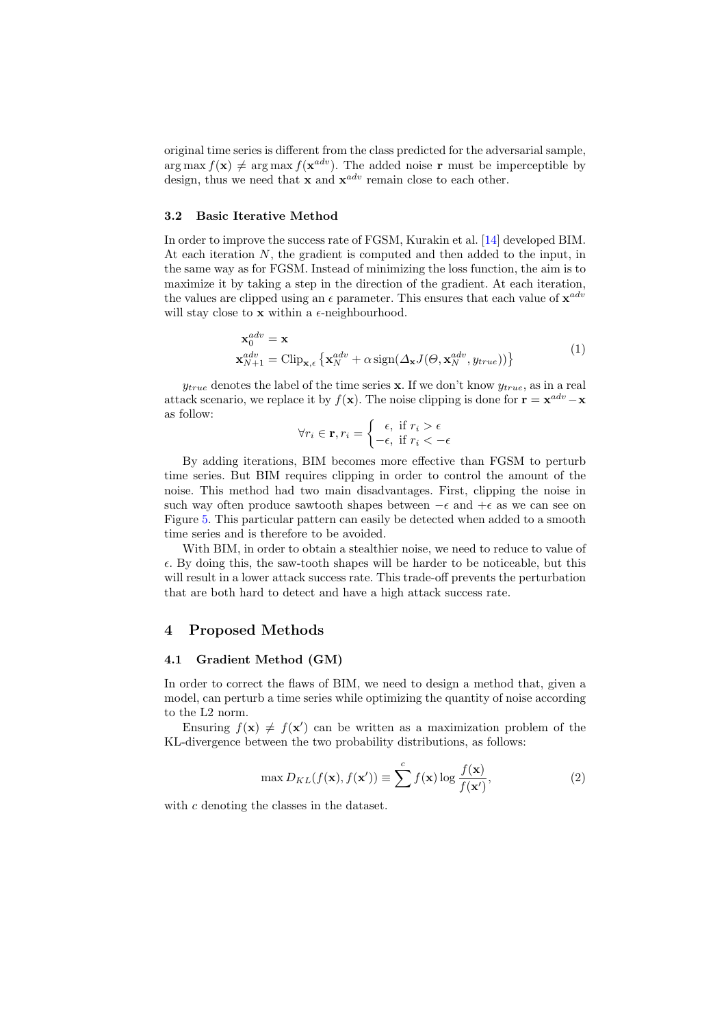original time series is different from the class predicted for the adversarial sample,  $\arg \max f(\mathbf{x}) \neq \arg \max f(\mathbf{x}^{adv})$ . The [add](#page-11-4)ed noise **r** must be imperceptible by design, thus we need that **x** and  $\mathbf{x}^{adv}$  remain close to each other.

#### 3.2 Basic Iterative Method

In order to improve the success rate of FGSM, Kurakin et al. [14] developed BIM. At each iteration N, the gradient is computed and then added to the input, in the same way as for FGSM. Instead of minimizing the loss function, the aim is to maximize it by taking a step in the direction of the gradient. At each iteration, the values are clipped using an  $\epsilon$  parameter. This ensures that each value of  $\mathbf{x}^{adv}$ will stay close to  $x$  within a  $\epsilon$ -neighbourhood.

$$
\mathbf{x}_{0}^{adv} = \mathbf{x}
$$
  
\n
$$
\mathbf{x}_{N+1}^{adv} = \text{Clip}_{\mathbf{x}, \epsilon} \left\{ \mathbf{x}_{N}^{adv} + \alpha \text{ sign}(\Delta_{\mathbf{x}} J(\Theta, \mathbf{x}_{N}^{adv}, y_{true})) \right\}
$$
 (1)

 $y_{true}$  denotes the label of the time series **x**. If we don't know  $y_{true}$ , as in a real attack scenario, we replace it by  $f(\mathbf{x})$ . The noise clipping is done for  $\mathbf{r} = \mathbf{x}^{adv} - \mathbf{x}$ as follow:

$$
\forall r_i \in \mathbf{r}, r_i = \begin{cases} \epsilon, & \text{if } r_i > \epsilon \\ -\epsilon, & \text{if } r_i < -\epsilon \end{cases}
$$

By adding iterations, BIM becomes more effective than FGSM to perturb time series. But BIM requires clipping in order to control the amount of the noise. This method had two main disadvantages. First, clipping the noise in such way often produce sawtooth shapes between  $-\epsilon$  and  $+\epsilon$  as we can see on Figure 5. This particular pattern can easily be detected when added to a smooth time series and is therefore to be avoided.

With BIM, in order to obtain a stealthier noise, we need to reduce to value of  $\epsilon$ . By doing this, the saw-tooth shapes will be harder to be noticeable, but this will result in a lower attack success rate. This trade-off prevents the perturbation that are both hard to detect and have a high attack success rate.

## 4 Proposed Methods

#### 4.1 Gradient Method (GM)

In order to correct the flaws of BIM, we need to design a method that, given a model, can perturb a time series while optimizing the quantity of noise according to the L2 norm.

Ensuring  $f(\mathbf{x}) \neq f(\mathbf{x}')$  can be written as a maximization problem of the KL-divergence between the two probability distributions, as follows:

$$
\max D_{KL}(f(\mathbf{x}), f(\mathbf{x}')) \equiv \sum^{c} f(\mathbf{x}) \log \frac{f(\mathbf{x})}{f(\mathbf{x}')},
$$
\n(2)

with c denoting the classes in the dataset.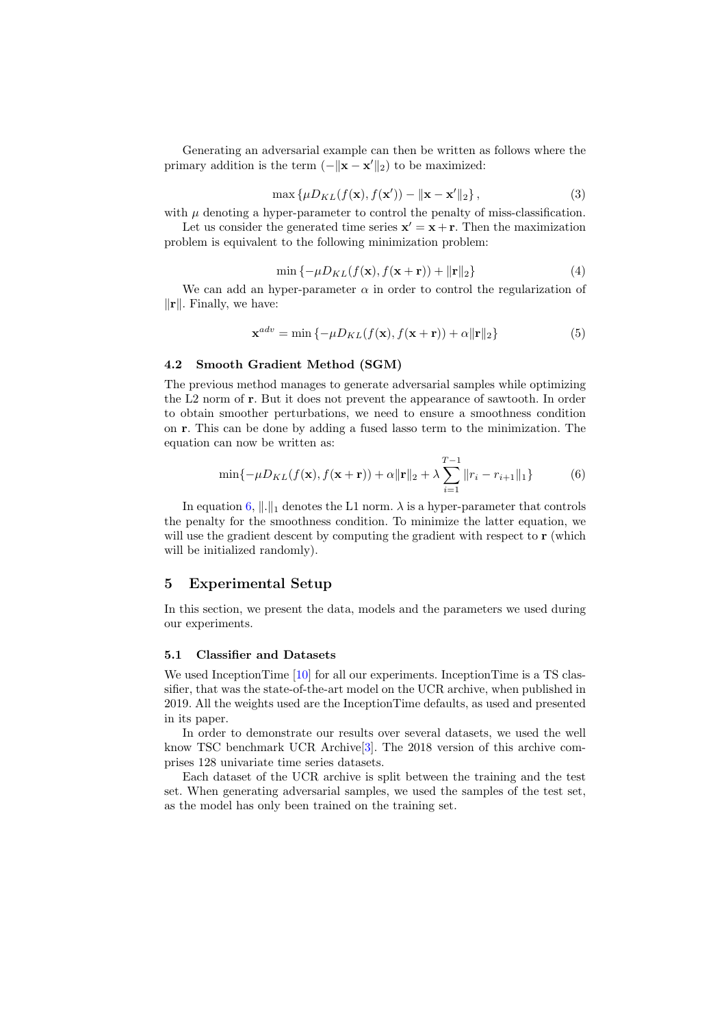Generating an adversarial example can then be written as follows where the primary addition is the term  $\left(-\|\mathbf{x} - \mathbf{x}'\|_2\right)$  to be maximized:

$$
\max\left\{\mu D_{KL}(f(\mathbf{x}), f(\mathbf{x}')) - \|\mathbf{x} - \mathbf{x}'\|_2\right\},\tag{3}
$$

with  $\mu$  denoting a hyper-parameter to control the penalty of miss-classification. Let us consider the generated time series  $\mathbf{x}' = \mathbf{x} + \mathbf{r}$ . Then the maximization

problem is equivalent to the following minimization problem:

$$
\min\left\{-\mu D_{KL}(f(\mathbf{x}), f(\mathbf{x} + \mathbf{r})) + \|\mathbf{r}\|_{2}\right\} \tag{4}
$$

We can add an hyper-parameter  $\alpha$  in order to control the regularization of  $\|\mathbf{r}\|$ . Finally, we have:

$$
\mathbf{x}^{adv} = \min \left\{ -\mu D_{KL}(f(\mathbf{x}), f(\mathbf{x} + \mathbf{r})) + \alpha ||\mathbf{r}||_2 \right\}
$$
(5)

#### 4.2 Smooth Gradient Method (SGM)

The previous method manages to generate adversarial samples while optimizing the L2 norm of r. But it does not prevent the appearance of sawtooth. In order to obtain smoother perturbations, we need to ensure a smoothness condition on r. This can be done by adding a fused lasso term to the minimization. The equation can now be written as:

$$
\min\{-\mu D_{KL}(f(\mathbf{x}), f(\mathbf{x} + \mathbf{r})) + \alpha \|\mathbf{r}\|_2 + \lambda \sum_{i=1}^{T-1} \|r_i - r_{i+1}\|_1\}
$$
(6)

In equation 6,  $\|\cdot\|_1$  denotes the L1 norm.  $\lambda$  is a hyper-parameter that controls the penalty for the smoothness condition. To minimize the latter equation, we will use the gradient descent by computing the gradient with respect to  $r$  (which will be initialized randomly).

# 5 [E](#page-11-14)xperimental Setup

In this section, we present the data, models and the parameters we used during our experiments.

#### 5.1 Classifier and Datasets

We used Incepti[on](#page-10-0)Time [10] for all our experiments. InceptionTime is a TS classifier, that was the state-of-the-art model on the UCR archive, when published in 2019. All the weights used are the InceptionTime defaults, as used and presented in its paper.

In order to demonstrate our results over several datasets, we used the well know TSC benchmark UCR Archive[3]. The 2018 version of this archive comprises 128 univariate time series datasets.

Each dataset of the UCR archive is split between the training and the test set. When generating adversarial samples, we used the samples of the test set, as the model has only been trained on the training set.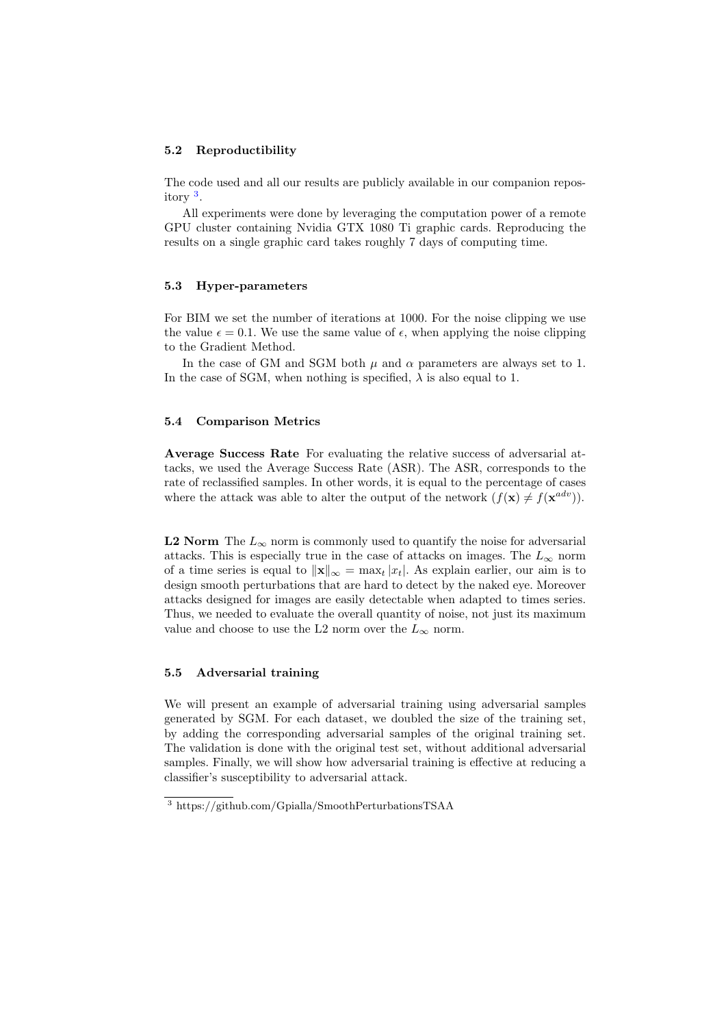#### 5.2 Reproductibility

The code used and all our results are publicly available in our companion repository <sup>3</sup> .

All experiments were done by leveraging the computation power of a remote GPU cluster containing Nvidia GTX 1080 Ti graphic cards. Reproducing the results on a single graphic card takes roughly 7 days of computing time.

#### 5.3 Hyper-parameters

For BIM we set the number of iterations at 1000. For the noise clipping we use the value  $\epsilon = 0.1$ . We use the same value of  $\epsilon$ , when applying the noise clipping to the Gradient Method.

In the case of GM and SGM both  $\mu$  and  $\alpha$  parameters are always set to 1. In the case of SGM, when nothing is specified,  $\lambda$  is also equal to 1.

## 5.4 Comparison Metrics

Average Success Rate For evaluating the relative success of adversarial attacks, we used the Average Success Rate (ASR). The ASR, corresponds to the rate of reclassified samples. In other words, it is equal to the percentage of cases where the attack was able to alter the output of the network  $(f(\mathbf{x}) \neq f(\mathbf{x}^{adv}))$ .

**L2 Norm** The  $L_{\infty}$  norm is commonly used to quantify the noise for adversarial attacks. This is especially true in the case of attacks on images. The  $L_{\infty}$  norm of a time series is equal to  $||\mathbf{x}||_{\infty} = \max_t |x_t|$ . As explain earlier, our aim is to design smooth perturbations that are hard to detect by the naked eye. Moreover attacks designed for images are easily detectable when adapted to times series. Thus, we needed to evaluate the overall quantity of noise, not just its maximum value and choose to use the L2 norm over the  $L_{\infty}$  norm.

#### 5.5 Adversarial training

We will present an example of adversarial training using adversarial samples generated by SGM. For each dataset, we doubled the size of the training set, by adding the corresponding adversarial samples of the original training set. The validation is done with the original test set, without additional adversarial samples. Finally, we will show how adversarial training is effective at reducing a classifier's susceptibility to adversarial attack.

<sup>3</sup> https://github.com/Gpialla/SmoothPerturbationsTSAA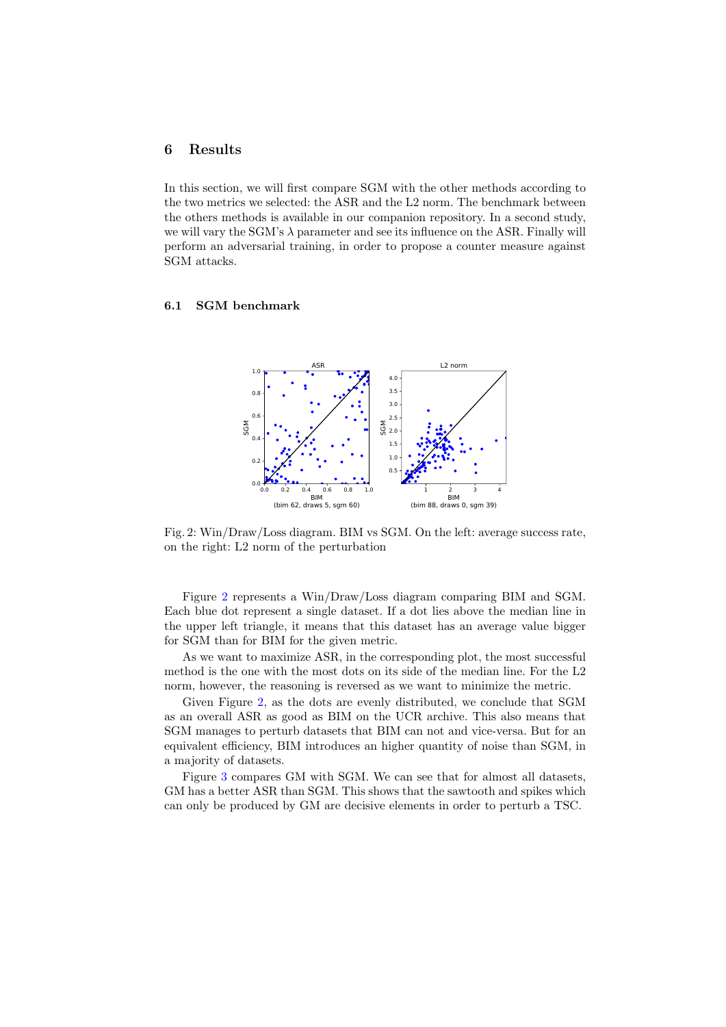## 6 Results

In this section, we will first compare SGM with the other methods according to the two metrics we selected: the ASR and the L2 norm. The benchmark between the others methods is available in our companion repository. In a second study, we will vary the SGM's  $\lambda$  parameter and see its influence on the ASR. Finally will perform an adversarial training, in order to propose a counter measure against SGM attacks.

#### 6.1 SGM benchmark



Fig. 2: Win/Draw/Loss diagram. BIM vs SGM. On the left: average success rate, on the right: L2 norm of the perturbation

Figure 2 represents a Win/Draw/Loss diagram comparing BIM and SGM. Each blue dot represent a single dataset. If a dot lies above the median line in the upper left triangle, it means that this dataset has an average value bigger for SGM than for BIM for the given metric.

As we want to maximize ASR, in the corresponding plot, the most successful method is the one with the most dots on its side of the median line. For the L2 norm, however, the reasoning is reversed as we want to minimize the metric.

Given Figure 2, as the dots are evenly distributed, we conclude that SGM as an overall ASR as good as BIM on the UCR archive. This also means that SGM manages to perturb datasets that BIM can not and vice-versa. But for an equivalent efficiency, BIM introduces an higher quantity of noise than SGM, in a majority of datasets.

Figure 3 compares GM with SGM. We can see that for almost all datasets, GM has a better ASR than SGM. This shows that the sawtooth and spikes which can only be produced by GM are decisive elements in order to perturb a TSC.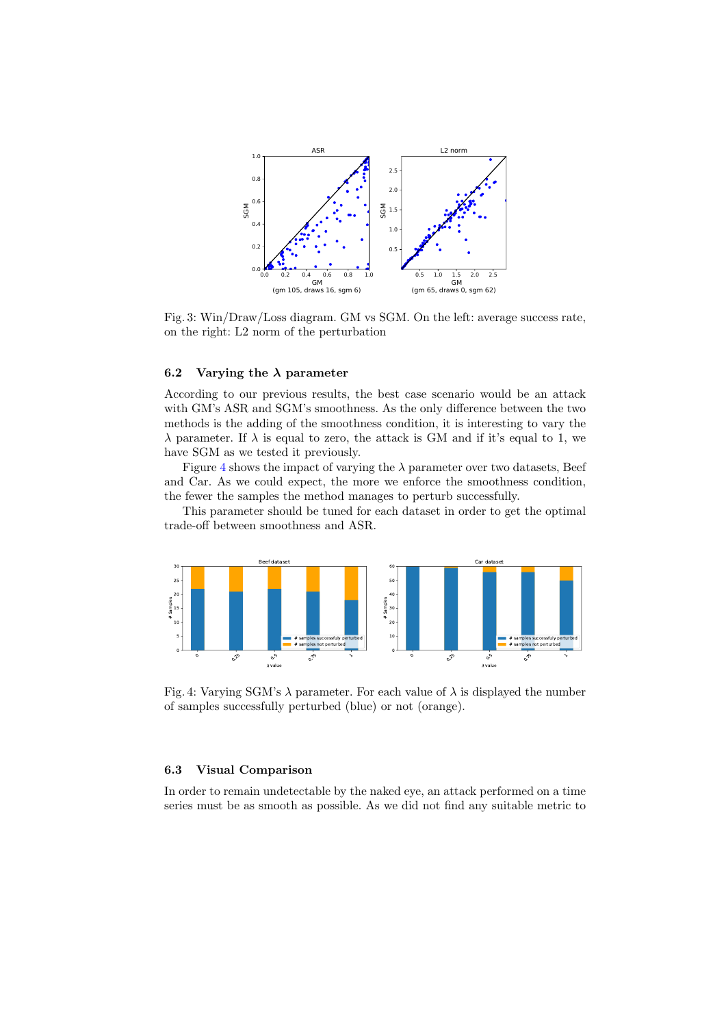

Fig. 3: Win/Draw/Loss diagram. GM vs SGM. On the left: average success rate, on the right: L2 norm of the perturbation

#### 6.2 Varying the  $\lambda$  parameter

According to our previous results, the best case scenario would be an attack with GM's ASR and SGM's smoothness. As the only difference between the two methods is the adding of the smoothness condition, it is interesting to vary the  $\lambda$  parameter. If  $\lambda$  is equal to zero, the attack is GM and if it's equal to 1, we have SGM as we tested it previously.

Figure 4 shows the impact of varying the  $\lambda$  parameter over two datasets, Beef and Car. As we could expect, the more we enforce the smoothness condition, the fewer the samples the method manages to perturb successfully.

This parameter should be tuned for each dataset in order to get the optimal trade-off between smoothness and ASR.



Fig. 4: Varying SGM's  $\lambda$  parameter. For each value of  $\lambda$  is displayed the number of samples successfully perturbed (blue) or not (orange).

#### 6.3 Visual Comparison

In order to remain undetectable by the naked eye, an attack performed on a time series must be as smooth as possible. As we did not find any suitable metric to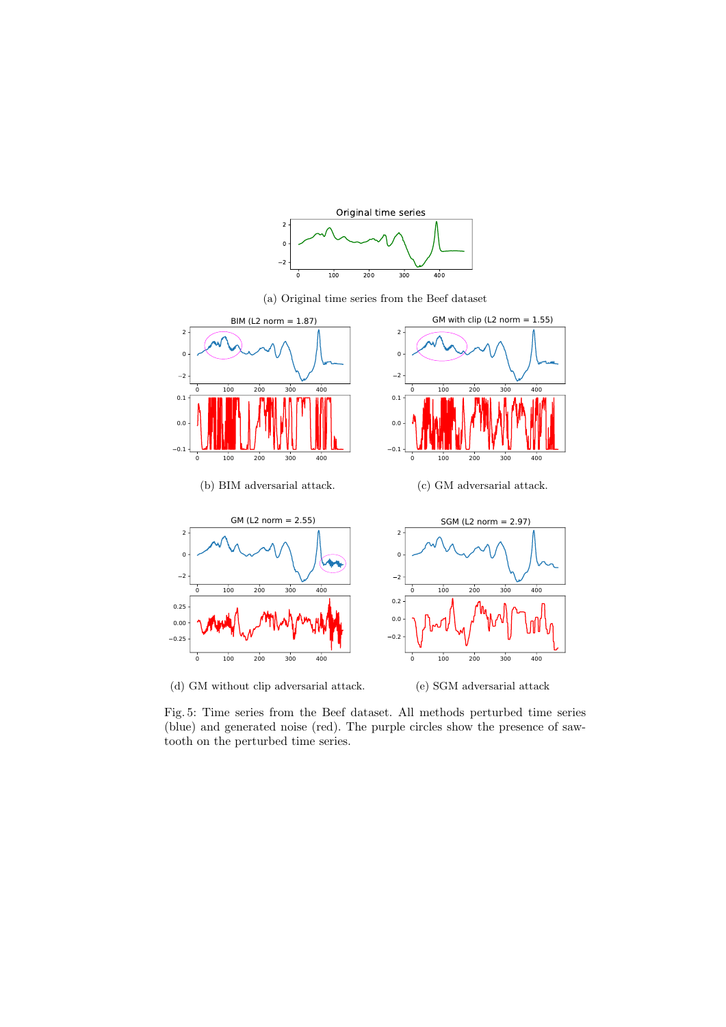

(a) Original time series from the Beef dataset



(d) GM without clip adversarial attack.



Fig. 5: Time series from the Beef dataset. All methods perturbed time series (blue) and generated noise (red). The purple circles show the presence of sawtooth on the perturbed time series.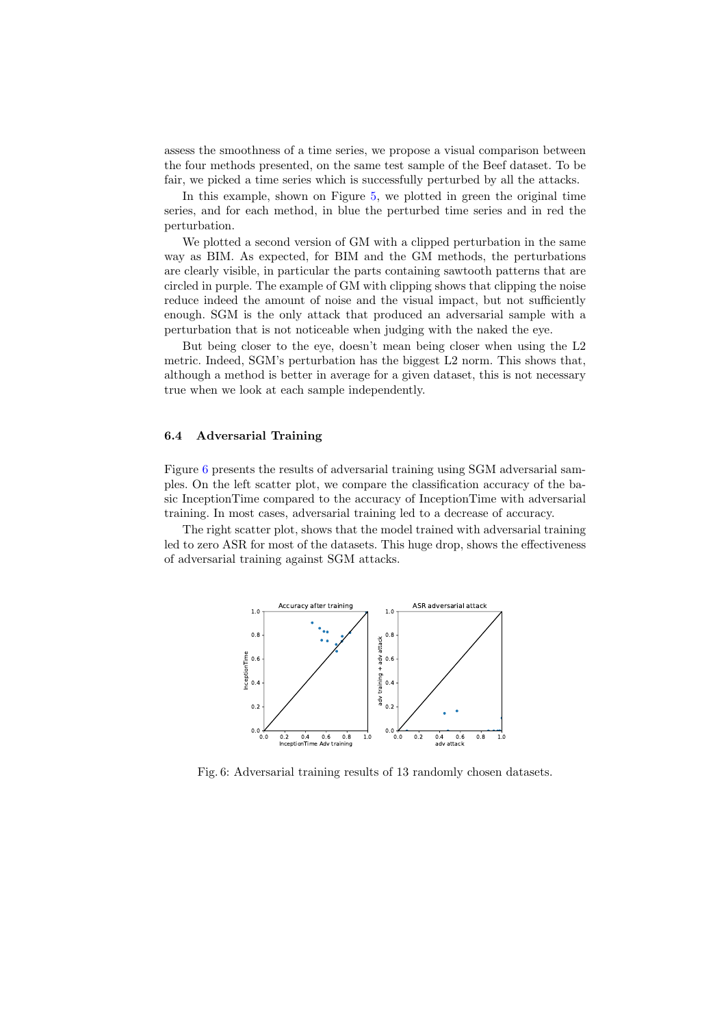assess the smoothness of a time series, we propose a visual comparison between the four methods presented, on the same test sample of the Beef dataset. To be fair, we picked a time series which is successfully perturbed by all the attacks.

In this example, shown on Figure 5, we plotted in green the original time series, and for each method, in blue the perturbed time series and in red the perturbation.

We plotted a second version of GM with a clipped perturbation in the same way as BIM. As expected, for BIM and the GM methods, the perturbations are clearly visible, in particular the parts containing sawtooth patterns that are circled in purple. The example of GM with clipping shows that clipping the noise reduce indeed the amount of noise and the visual impact, but not sufficiently enough. SGM is the only attack that produced an adversarial sample with a perturbation that is not noticeable when judging with the naked the eye.

But being closer to the eye, doesn't mean being closer when using the L2 metric. Indeed, SGM's perturbation has the biggest L2 norm. This shows that, although a method is better in average for a given dataset, this is not necessary true when we look at each sample independently.

## 6.4 Adversarial Training

Figure 6 presents the results of adversarial training using SGM adversarial samples. On the left scatter plot, we compare the classification accuracy of the basic InceptionTime compared to the accuracy of InceptionTime with adversarial training. In most cases, adversarial training led to a decrease of accuracy.

The right scatter plot, shows that the model trained with adversarial training led to zero ASR for most of the datasets. This huge drop, shows the effectiveness of adversarial training against SGM attacks.



Fig. 6: Adversarial training results of 13 randomly chosen datasets.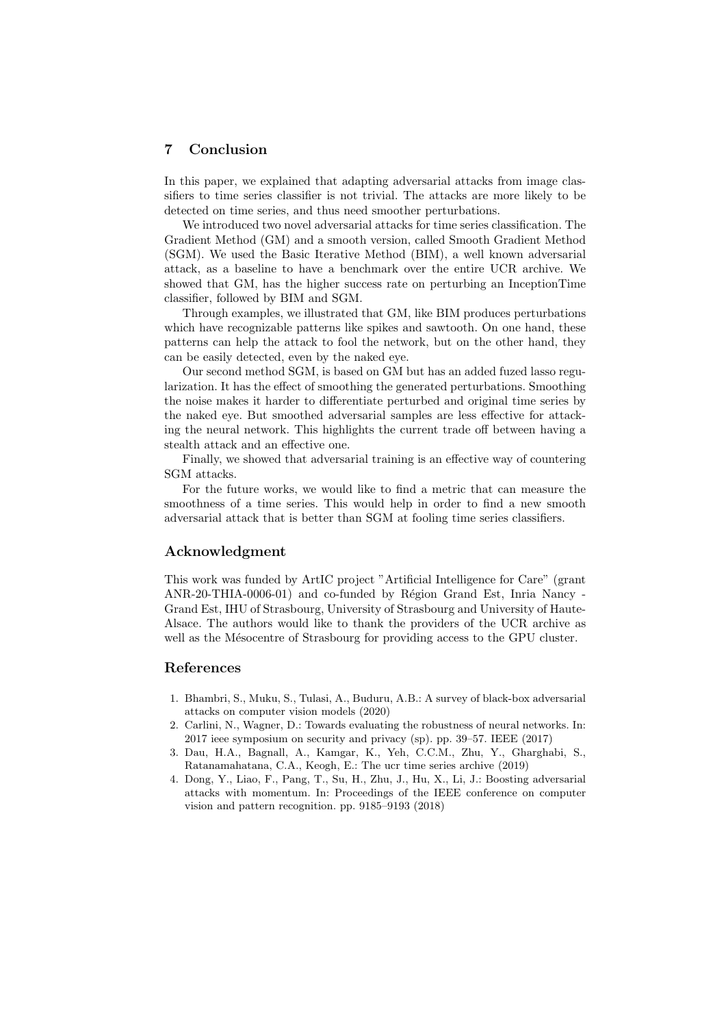# 7 Conclusion

In this paper, we explained that adapting adversarial attacks from image classifiers to time series classifier is not trivial. The attacks are more likely to be detected on time series, and thus need smoother perturbations.

We introduced two novel adversarial attacks for time series classification. The Gradient Method (GM) and a smooth version, called Smooth Gradient Method (SGM). We used the Basic Iterative Method (BIM), a well known adversarial attack, as a baseline to have a benchmark over the entire UCR archive. We showed that GM, has the higher success rate on perturbing an InceptionTime classifier, followed by BIM and SGM.

Through examples, we illustrated that GM, like BIM produces perturbations which have recognizable patterns like spikes and sawtooth. On one hand, these patterns can help the attack to fool the network, but on the other hand, they can be easily detected, even by the naked eye.

Our second method SGM, is based on GM but has an added fuzed lasso regularization. It has the effect of smoothing the generated perturbations. Smoothing the noise makes it harder to differentiate perturbed and original time series by the naked eye. But smoothed adversarial samples are less effective for attacking the neural network. This highlights the current trade off between having a stealth attack and an effective one.

Finally, we showed that adversarial training is an effective way of countering SGM attacks.

For the future works, we would like to find a metric that can measure the smoothness of a time series. This would help in order to find a new smooth adversarial attack that is better than SGM at fooling time series classifiers.

# Acknowledgment

This work was funded by ArtIC project "Artificial Intelligence for Care" (grant ANR-20-THIA-0006-01) and co-funded by Région Grand Est, Inria Nancy -Grand Est, IHU of Strasbourg, University of Strasbourg and University of Haute-Alsace. The authors would like to thank the providers of the UCR archive as well as the Mésocentre of Strasbourg for providing access to the GPU cluster.

# References

- <span id="page-10-2"></span>1. Bhambri, S., Muku, S., Tulasi, A., Buduru, A.B.: A survey of black-box adversarial attacks on computer vision models (2020)
- <span id="page-10-3"></span>2. Carlini, N., Wagner, D.: Towards evaluating the robustness of neural networks. In: 2017 ieee symposium on security and privacy (sp). pp. 39–57. IEEE (2017)
- <span id="page-10-0"></span>3. Dau, H.A., Bagnall, A., Kamgar, K., Yeh, C.C.M., Zhu, Y., Gharghabi, S., Ratanamahatana, C.A., Keogh, E.: The ucr time series archive (2019)
- <span id="page-10-1"></span>4. Dong, Y., Liao, F., Pang, T., Su, H., Zhu, J., Hu, X., Li, J.: Boosting adversarial attacks with momentum. In: Proceedings of the IEEE conference on computer vision and pattern recognition. pp. 9185–9193 (2018)